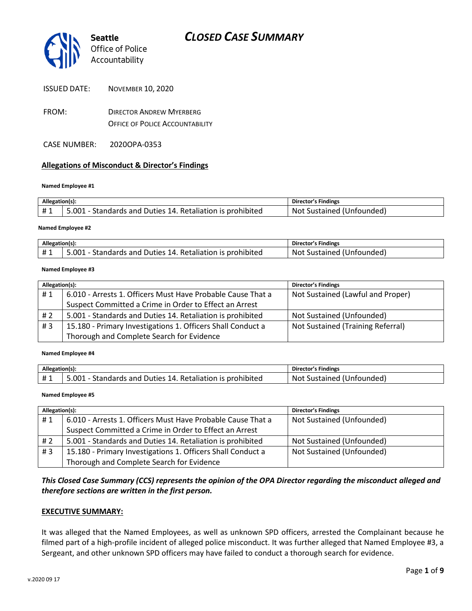

| <b>ISSUED DATE:</b> | <b>NOVEMBER 10, 2020</b> |  |
|---------------------|--------------------------|--|
|                     |                          |  |

- FROM: DIRECTOR ANDREW MYERBERG OFFICE OF POLICE ACCOUNTABILITY
- CASE NUMBER: 2020OPA-0353

### **Allegations of Misconduct & Director's Findings**

#### **Named Employee #1**

| Allegation(s): |                                                            | Director's Findings       |
|----------------|------------------------------------------------------------|---------------------------|
| #1             | 5.001 - Standards and Duties 14. Retaliation is prohibited | Not Sustained (Unfounded) |
|                |                                                            |                           |

#### **Named Employee #2**

| Allegation(s):  |                                                                | <b>Director's Findings</b>          |
|-----------------|----------------------------------------------------------------|-------------------------------------|
| <b>H</b> 1<br>π | L - Standards and Duties 14. Retaliation is prohibited<br>.001 | (Unfounded)<br>Sustained i<br>Not S |

#### **Named Employee #3**

| Allegation(s): |                                                             | <b>Director's Findings</b>        |
|----------------|-------------------------------------------------------------|-----------------------------------|
| #1             | 6.010 - Arrests 1. Officers Must Have Probable Cause That a | Not Sustained (Lawful and Proper) |
|                | Suspect Committed a Crime in Order to Effect an Arrest      |                                   |
| #2             | 5.001 - Standards and Duties 14. Retaliation is prohibited  | Not Sustained (Unfounded)         |
| #3             | 15.180 - Primary Investigations 1. Officers Shall Conduct a | Not Sustained (Training Referral) |
|                | Thorough and Complete Search for Evidence                   |                                   |

**Named Employee #4**

| Allegation(s): |                                                           | Director's Findings       |
|----------------|-----------------------------------------------------------|---------------------------|
| #1             | .001 - Standards and Duties 14. Retaliation is prohibited | Not Sustained (Unfounded) |

#### **Named Employee #5**

| Allegation(s): |                                                             | <b>Director's Findings</b> |
|----------------|-------------------------------------------------------------|----------------------------|
| #1             | 6.010 - Arrests 1. Officers Must Have Probable Cause That a | Not Sustained (Unfounded)  |
|                | Suspect Committed a Crime in Order to Effect an Arrest      |                            |
| # 2            | 5.001 - Standards and Duties 14. Retaliation is prohibited  | Not Sustained (Unfounded)  |
| #3             | 15.180 - Primary Investigations 1. Officers Shall Conduct a | Not Sustained (Unfounded)  |
|                | Thorough and Complete Search for Evidence                   |                            |

### *This Closed Case Summary (CCS) represents the opinion of the OPA Director regarding the misconduct alleged and therefore sections are written in the first person.*

#### **EXECUTIVE SUMMARY:**

It was alleged that the Named Employees, as well as unknown SPD officers, arrested the Complainant because he filmed part of a high-profile incident of alleged police misconduct. It was further alleged that Named Employee #3, a Sergeant, and other unknown SPD officers may have failed to conduct a thorough search for evidence.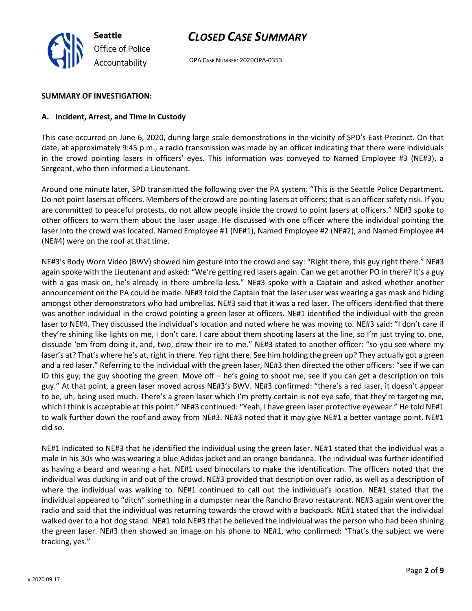

OPA CASE NUMBER: 2020OPA-0353

#### **SUMMARY OF INVESTIGATION:**

### **A. Incident, Arrest, and Time in Custody**

This case occurred on June 6, 2020, during large scale demonstrations in the vicinity of SPD's East Precinct. On that date, at approximately 9:45 p.m., a radio transmission was made by an officer indicating that there were individuals in the crowd pointing lasers in officers' eyes. This information was conveyed to Named Employee #3 (NE#3), a Sergeant, who then informed a Lieutenant.

Around one minute later, SPD transmitted the following over the PA system: "This is the Seattle Police Department. Do not point lasers at officers. Members of the crowd are pointing lasers at officers; that is an officer safety risk. If you are committed to peaceful protests, do not allow people inside the crowd to point lasers at officers." NE#3 spoke to other officers to warn them about the laser usage. He discussed with one officer where the individual pointing the laser into the crowd was located. Named Employee #1 (NE#1), Named Employee #2 (NE#2), and Named Employee #4 (NE#4) were on the roof at that time.

NE#3's Body Worn Video (BWV) showed him gesture into the crowd and say: "Right there, this guy right there." NE#3 again spoke with the Lieutenant and asked: "We're getting red lasers again. Can we get another PO in there? It's a guy with a gas mask on, he's already in there umbrella-less." NE#3 spoke with a Captain and asked whether another announcement on the PA could be made. NE#3 told the Captain that the laser user was wearing a gas mask and hiding amongst other demonstrators who had umbrellas. NE#3 said that it was a red laser. The officers identified that there was another individual in the crowd pointing a green laser at officers. NE#1 identified the individual with the green laser to NE#4. They discussed the individual's location and noted where he was moving to. NE#3 said: "I don't care if they're shining like lights on me, I don't care. I care about them shooting lasers at the line, so I'm just trying to, one, dissuade 'em from doing it, and, two, draw their ire to me." NE#3 stated to another officer: "so you see where my laser's at? That's where he's at, right in there. Yep right there. See him holding the green up? They actually got a green and a red laser." Referring to the individual with the green laser, NE#3 then directed the other officers: "see if we can ID this guy; the guy shooting the green. Move off – he's going to shoot me, see if you can get a description on this guy." At that point, a green laser moved across NE#3's BWV. NE#3 confirmed: "there's a red laser, it doesn't appear to be, uh, being used much. There's a green laser which I'm pretty certain is not eye safe, that they're targeting me, which I think is acceptable at this point." NE#3 continued: "Yeah, I have green laser protective eyewear." He told NE#1 to walk further down the roof and away from NE#3. NE#3 noted that it may give NE#1 a better vantage point. NE#1 did so.

NE#1 indicated to NE#3 that he identified the individual using the green laser. NE#1 stated that the individual was a male in his 30s who was wearing a blue Adidas jacket and an orange bandanna. The individual was further identified as having a beard and wearing a hat. NE#1 used binoculars to make the identification. The officers noted that the individual was ducking in and out of the crowd. NE#3 provided that description over radio, as well as a description of where the individual was walking to. NE#1 continued to call out the individual's location. NE#1 stated that the individual appeared to "ditch" something in a dumpster near the Rancho Bravo restaurant. NE#3 again went over the radio and said that the individual was returning towards the crowd with a backpack. NE#1 stated that the individual walked over to a hot dog stand. NE#1 told NE#3 that he believed the individual was the person who had been shining the green laser. NE#3 then showed an image on his phone to NE#1, who confirmed: "That's the subject we were tracking, yes."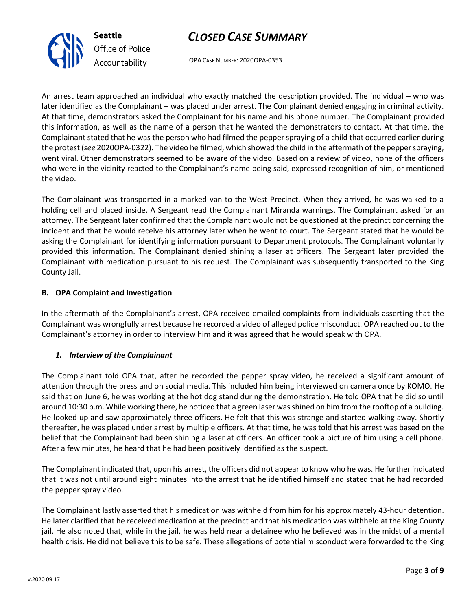OPA CASE NUMBER: 2020OPA-0353

An arrest team approached an individual who exactly matched the description provided. The individual – who was later identified as the Complainant – was placed under arrest. The Complainant denied engaging in criminal activity. At that time, demonstrators asked the Complainant for his name and his phone number. The Complainant provided this information, as well as the name of a person that he wanted the demonstrators to contact. At that time, the Complainant stated that he was the person who had filmed the pepper spraying of a child that occurred earlier during the protest (*see* 2020OPA-0322). The video he filmed, which showed the child in the aftermath of the pepper spraying, went viral. Other demonstrators seemed to be aware of the video. Based on a review of video, none of the officers who were in the vicinity reacted to the Complainant's name being said, expressed recognition of him, or mentioned the video.

The Complainant was transported in a marked van to the West Precinct. When they arrived, he was walked to a holding cell and placed inside. A Sergeant read the Complainant Miranda warnings. The Complainant asked for an attorney. The Sergeant later confirmed that the Complainant would not be questioned at the precinct concerning the incident and that he would receive his attorney later when he went to court. The Sergeant stated that he would be asking the Complainant for identifying information pursuant to Department protocols. The Complainant voluntarily provided this information. The Complainant denied shining a laser at officers. The Sergeant later provided the Complainant with medication pursuant to his request. The Complainant was subsequently transported to the King County Jail.

### **B. OPA Complaint and Investigation**

In the aftermath of the Complainant's arrest, OPA received emailed complaints from individuals asserting that the Complainant was wrongfully arrest because he recorded a video of alleged police misconduct. OPA reached out to the Complainant's attorney in order to interview him and it was agreed that he would speak with OPA.

### *1. Interview of the Complainant*

The Complainant told OPA that, after he recorded the pepper spray video, he received a significant amount of attention through the press and on social media. This included him being interviewed on camera once by KOMO. He said that on June 6, he was working at the hot dog stand during the demonstration. He told OPA that he did so until around 10:30 p.m. While working there, he noticed that a green laser was shined on him from the rooftop of a building. He looked up and saw approximately three officers. He felt that this was strange and started walking away. Shortly thereafter, he was placed under arrest by multiple officers. At that time, he was told that his arrest was based on the belief that the Complainant had been shining a laser at officers. An officer took a picture of him using a cell phone. After a few minutes, he heard that he had been positively identified as the suspect.

The Complainant indicated that, upon his arrest, the officers did not appear to know who he was. He further indicated that it was not until around eight minutes into the arrest that he identified himself and stated that he had recorded the pepper spray video.

The Complainant lastly asserted that his medication was withheld from him for his approximately 43-hour detention. He later clarified that he received medication at the precinct and that his medication was withheld at the King County jail. He also noted that, while in the jail, he was held near a detainee who he believed was in the midst of a mental health crisis. He did not believe this to be safe. These allegations of potential misconduct were forwarded to the King



**Seattle** *Office of Police Accountability*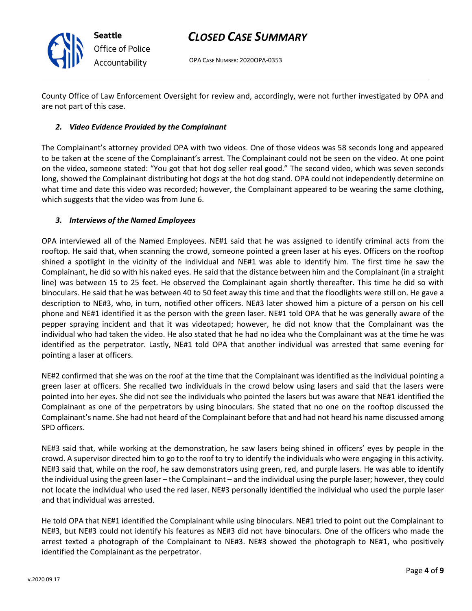

OPA CASE NUMBER: 2020OPA-0353

County Office of Law Enforcement Oversight for review and, accordingly, were not further investigated by OPA and are not part of this case.

### *2. Video Evidence Provided by the Complainant*

The Complainant's attorney provided OPA with two videos. One of those videos was 58 seconds long and appeared to be taken at the scene of the Complainant's arrest. The Complainant could not be seen on the video. At one point on the video, someone stated: "You got that hot dog seller real good." The second video, which was seven seconds long, showed the Complainant distributing hot dogs at the hot dog stand. OPA could not independently determine on what time and date this video was recorded; however, the Complainant appeared to be wearing the same clothing, which suggests that the video was from June 6.

### *3. Interviews of the Named Employees*

OPA interviewed all of the Named Employees. NE#1 said that he was assigned to identify criminal acts from the rooftop. He said that, when scanning the crowd, someone pointed a green laser at his eyes. Officers on the rooftop shined a spotlight in the vicinity of the individual and NE#1 was able to identify him. The first time he saw the Complainant, he did so with his naked eyes. He said that the distance between him and the Complainant (in a straight line) was between 15 to 25 feet. He observed the Complainant again shortly thereafter. This time he did so with binoculars. He said that he was between 40 to 50 feet away this time and that the floodlights were still on. He gave a description to NE#3, who, in turn, notified other officers. NE#3 later showed him a picture of a person on his cell phone and NE#1 identified it as the person with the green laser. NE#1 told OPA that he was generally aware of the pepper spraying incident and that it was videotaped; however, he did not know that the Complainant was the individual who had taken the video. He also stated that he had no idea who the Complainant was at the time he was identified as the perpetrator. Lastly, NE#1 told OPA that another individual was arrested that same evening for pointing a laser at officers.

NE#2 confirmed that she was on the roof at the time that the Complainant was identified as the individual pointing a green laser at officers. She recalled two individuals in the crowd below using lasers and said that the lasers were pointed into her eyes. She did not see the individuals who pointed the lasers but was aware that NE#1 identified the Complainant as one of the perpetrators by using binoculars. She stated that no one on the rooftop discussed the Complainant's name. She had not heard of the Complainant before that and had not heard his name discussed among SPD officers.

NE#3 said that, while working at the demonstration, he saw lasers being shined in officers' eyes by people in the crowd. A supervisor directed him to go to the roof to try to identify the individuals who were engaging in this activity. NE#3 said that, while on the roof, he saw demonstrators using green, red, and purple lasers. He was able to identify the individual using the green laser – the Complainant – and the individual using the purple laser; however, they could not locate the individual who used the red laser. NE#3 personally identified the individual who used the purple laser and that individual was arrested.

He told OPA that NE#1 identified the Complainant while using binoculars. NE#1 tried to point out the Complainant to NE#3, but NE#3 could not identify his features as NE#3 did not have binoculars. One of the officers who made the arrest texted a photograph of the Complainant to NE#3. NE#3 showed the photograph to NE#1, who positively identified the Complainant as the perpetrator.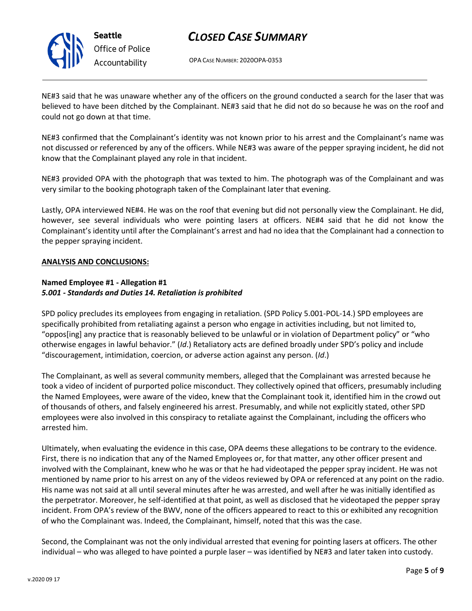

OPA CASE NUMBER: 2020OPA-0353

NE#3 said that he was unaware whether any of the officers on the ground conducted a search for the laser that was believed to have been ditched by the Complainant. NE#3 said that he did not do so because he was on the roof and could not go down at that time.

NE#3 confirmed that the Complainant's identity was not known prior to his arrest and the Complainant's name was not discussed or referenced by any of the officers. While NE#3 was aware of the pepper spraying incident, he did not know that the Complainant played any role in that incident.

NE#3 provided OPA with the photograph that was texted to him. The photograph was of the Complainant and was very similar to the booking photograph taken of the Complainant later that evening.

Lastly, OPA interviewed NE#4. He was on the roof that evening but did not personally view the Complainant. He did, however, see several individuals who were pointing lasers at officers. NE#4 said that he did not know the Complainant's identity until after the Complainant's arrest and had no idea that the Complainant had a connection to the pepper spraying incident.

### **ANALYSIS AND CONCLUSIONS:**

### **Named Employee #1 - Allegation #1** *5.001 - Standards and Duties 14. Retaliation is prohibited*

SPD policy precludes its employees from engaging in retaliation. (SPD Policy 5.001-POL-14.) SPD employees are specifically prohibited from retaliating against a person who engage in activities including, but not limited to, "oppos[ing] any practice that is reasonably believed to be unlawful or in violation of Department policy" or "who otherwise engages in lawful behavior." (*Id*.) Retaliatory acts are defined broadly under SPD's policy and include "discouragement, intimidation, coercion, or adverse action against any person. (*Id*.)

The Complainant, as well as several community members, alleged that the Complainant was arrested because he took a video of incident of purported police misconduct. They collectively opined that officers, presumably including the Named Employees, were aware of the video, knew that the Complainant took it, identified him in the crowd out of thousands of others, and falsely engineered his arrest. Presumably, and while not explicitly stated, other SPD employees were also involved in this conspiracy to retaliate against the Complainant, including the officers who arrested him.

Ultimately, when evaluating the evidence in this case, OPA deems these allegations to be contrary to the evidence. First, there is no indication that any of the Named Employees or, for that matter, any other officer present and involved with the Complainant, knew who he was or that he had videotaped the pepper spray incident. He was not mentioned by name prior to his arrest on any of the videos reviewed by OPA or referenced at any point on the radio. His name was not said at all until several minutes after he was arrested, and well after he was initially identified as the perpetrator. Moreover, he self-identified at that point, as well as disclosed that he videotaped the pepper spray incident. From OPA's review of the BWV, none of the officers appeared to react to this or exhibited any recognition of who the Complainant was. Indeed, the Complainant, himself, noted that this was the case.

Second, the Complainant was not the only individual arrested that evening for pointing lasers at officers. The other individual – who was alleged to have pointed a purple laser – was identified by NE#3 and later taken into custody.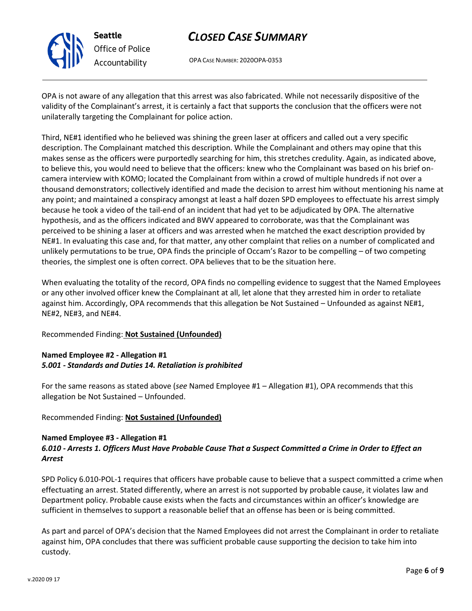

# *Office of Police Accountability*

# *CLOSED CASE SUMMARY*

OPA CASE NUMBER: 2020OPA-0353

OPA is not aware of any allegation that this arrest was also fabricated. While not necessarily dispositive of the validity of the Complainant's arrest, it is certainly a fact that supports the conclusion that the officers were not unilaterally targeting the Complainant for police action.

Third, NE#1 identified who he believed was shining the green laser at officers and called out a very specific description. The Complainant matched this description. While the Complainant and others may opine that this makes sense as the officers were purportedly searching for him, this stretches credulity. Again, as indicated above, to believe this, you would need to believe that the officers: knew who the Complainant was based on his brief oncamera interview with KOMO; located the Complainant from within a crowd of multiple hundreds if not over a thousand demonstrators; collectively identified and made the decision to arrest him without mentioning his name at any point; and maintained a conspiracy amongst at least a half dozen SPD employees to effectuate his arrest simply because he took a video of the tail-end of an incident that had yet to be adjudicated by OPA. The alternative hypothesis, and as the officers indicated and BWV appeared to corroborate, was that the Complainant was perceived to be shining a laser at officers and was arrested when he matched the exact description provided by NE#1. In evaluating this case and, for that matter, any other complaint that relies on a number of complicated and unlikely permutations to be true, OPA finds the principle of Occam's Razor to be compelling – of two competing theories, the simplest one is often correct. OPA believes that to be the situation here.

When evaluating the totality of the record, OPA finds no compelling evidence to suggest that the Named Employees or any other involved officer knew the Complainant at all, let alone that they arrested him in order to retaliate against him. Accordingly, OPA recommends that this allegation be Not Sustained – Unfounded as against NE#1, NE#2, NE#3, and NE#4.

### Recommended Finding: **Not Sustained (Unfounded)**

### **Named Employee #2 - Allegation #1** *5.001 - Standards and Duties 14. Retaliation is prohibited*

For the same reasons as stated above (*see* Named Employee #1 – Allegation #1), OPA recommends that this allegation be Not Sustained – Unfounded.

### Recommended Finding: **Not Sustained (Unfounded)**

### **Named Employee #3 - Allegation #1** *6.010 - Arrests 1. Officers Must Have Probable Cause That a Suspect Committed a Crime in Order to Effect an Arrest*

SPD Policy 6.010-POL-1 requires that officers have probable cause to believe that a suspect committed a crime when effectuating an arrest. Stated differently, where an arrest is not supported by probable cause, it violates law and Department policy. Probable cause exists when the facts and circumstances within an officer's knowledge are sufficient in themselves to support a reasonable belief that an offense has been or is being committed.

As part and parcel of OPA's decision that the Named Employees did not arrest the Complainant in order to retaliate against him, OPA concludes that there was sufficient probable cause supporting the decision to take him into custody.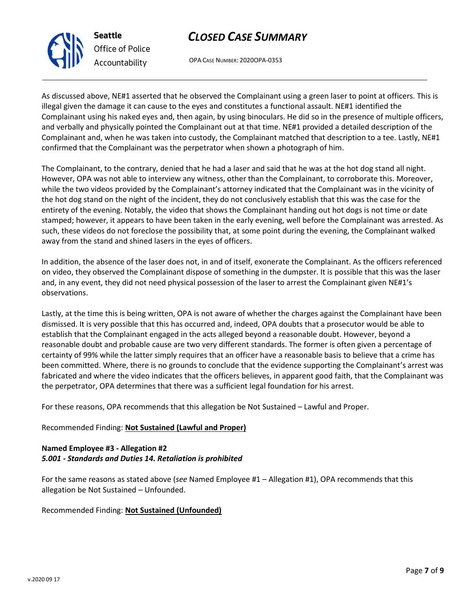OPA CASE NUMBER: 2020OPA-0353

As discussed above, NE#1 asserted that he observed the Complainant using a green laser to point at officers. This is illegal given the damage it can cause to the eyes and constitutes a functional assault. NE#1 identified the Complainant using his naked eyes and, then again, by using binoculars. He did so in the presence of multiple officers, and verbally and physically pointed the Complainant out at that time. NE#1 provided a detailed description of the Complainant and, when he was taken into custody, the Complainant matched that description to a tee. Lastly, NE#1 confirmed that the Complainant was the perpetrator when shown a photograph of him.

The Complainant, to the contrary, denied that he had a laser and said that he was at the hot dog stand all night. However, OPA was not able to interview any witness, other than the Complainant, to corroborate this. Moreover, while the two videos provided by the Complainant's attorney indicated that the Complainant was in the vicinity of the hot dog stand on the night of the incident, they do not conclusively establish that this was the case for the entirety of the evening. Notably, the video that shows the Complainant handing out hot dogs is not time or date stamped; however, it appears to have been taken in the early evening, well before the Complainant was arrested. As such, these videos do not foreclose the possibility that, at some point during the evening, the Complainant walked away from the stand and shined lasers in the eyes of officers.

In addition, the absence of the laser does not, in and of itself, exonerate the Complainant. As the officers referenced on video, they observed the Complainant dispose of something in the dumpster. It is possible that this was the laser and, in any event, they did not need physical possession of the laser to arrest the Complainant given NE#1's observations.

Lastly, at the time this is being written, OPA is not aware of whether the charges against the Complainant have been dismissed. It is very possible that this has occurred and, indeed, OPA doubts that a prosecutor would be able to establish that the Complainant engaged in the acts alleged beyond a reasonable doubt. However, beyond a reasonable doubt and probable cause are two very different standards. The former is often given a percentage of certainty of 99% while the latter simply requires that an officer have a reasonable basis to believe that a crime has been committed. Where, there is no grounds to conclude that the evidence supporting the Complainant's arrest was fabricated and where the video indicates that the officers believes, in apparent good faith, that the Complainant was the perpetrator, OPA determines that there was a sufficient legal foundation for his arrest.

For these reasons, OPA recommends that this allegation be Not Sustained – Lawful and Proper.

### Recommended Finding: **Not Sustained (Lawful and Proper)**

### **Named Employee #3 - Allegation #2** *5.001 - Standards and Duties 14. Retaliation is prohibited*

For the same reasons as stated above (*see* Named Employee #1 – Allegation #1), OPA recommends that this allegation be Not Sustained – Unfounded.

Recommended Finding: **Not Sustained (Unfounded)**



**Seattle**

*Office of Police Accountability*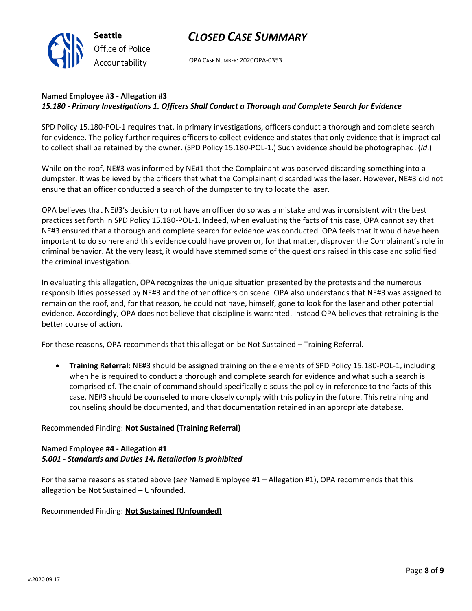OPA CASE NUMBER: 2020OPA-0353

### **Named Employee #3 - Allegation #3** *15.180 - Primary Investigations 1. Officers Shall Conduct a Thorough and Complete Search for Evidence*

SPD Policy 15.180-POL-1 requires that, in primary investigations, officers conduct a thorough and complete search for evidence. The policy further requires officers to collect evidence and states that only evidence that is impractical to collect shall be retained by the owner. (SPD Policy 15.180-POL-1.) Such evidence should be photographed. (*Id*.)

While on the roof, NE#3 was informed by NE#1 that the Complainant was observed discarding something into a dumpster. It was believed by the officers that what the Complainant discarded was the laser. However, NE#3 did not ensure that an officer conducted a search of the dumpster to try to locate the laser.

OPA believes that NE#3's decision to not have an officer do so was a mistake and was inconsistent with the best practices set forth in SPD Policy 15.180-POL-1. Indeed, when evaluating the facts of this case, OPA cannot say that NE#3 ensured that a thorough and complete search for evidence was conducted. OPA feels that it would have been important to do so here and this evidence could have proven or, for that matter, disproven the Complainant's role in criminal behavior. At the very least, it would have stemmed some of the questions raised in this case and solidified the criminal investigation.

In evaluating this allegation, OPA recognizes the unique situation presented by the protests and the numerous responsibilities possessed by NE#3 and the other officers on scene. OPA also understands that NE#3 was assigned to remain on the roof, and, for that reason, he could not have, himself, gone to look for the laser and other potential evidence. Accordingly, OPA does not believe that discipline is warranted. Instead OPA believes that retraining is the better course of action.

For these reasons, OPA recommends that this allegation be Not Sustained – Training Referral.

• **Training Referral:** NE#3 should be assigned training on the elements of SPD Policy 15.180-POL-1, including when he is required to conduct a thorough and complete search for evidence and what such a search is comprised of. The chain of command should specifically discuss the policy in reference to the facts of this case. NE#3 should be counseled to more closely comply with this policy in the future. This retraining and counseling should be documented, and that documentation retained in an appropriate database.

### Recommended Finding: **Not Sustained (Training Referral)**

### **Named Employee #4 - Allegation #1** *5.001 - Standards and Duties 14. Retaliation is prohibited*

For the same reasons as stated above (*see* Named Employee #1 – Allegation #1), OPA recommends that this allegation be Not Sustained – Unfounded.

### Recommended Finding: **Not Sustained (Unfounded)**



**Seattle** *Office of Police Accountability*